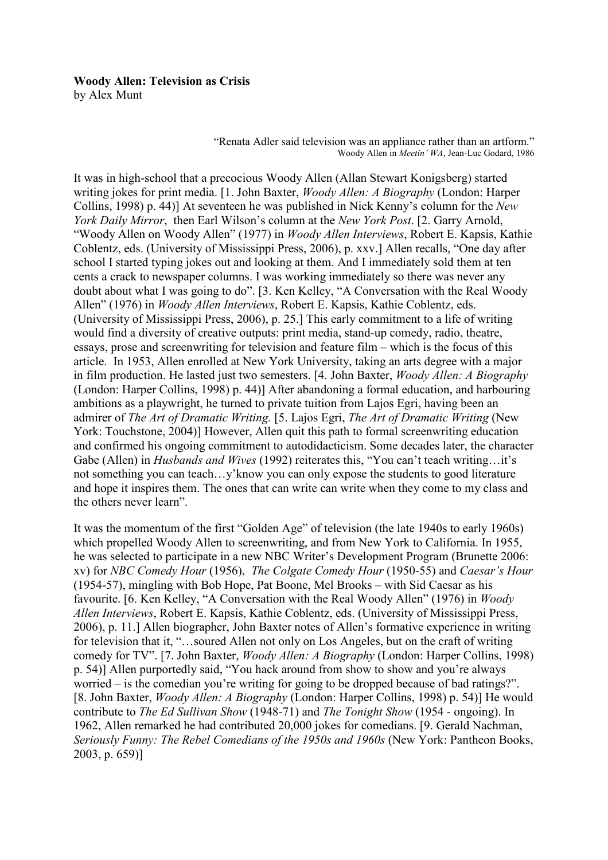# **Woody Allen: Television as Crisis**

by Alex Munt

"Renata Adler said television was an appliance rather than an artform." Woody Allen in *Meetin' WA*, Jean-Luc Godard, 1986

It was in high-school that a precocious Woody Allen (Allan Stewart Konigsberg) started writing jokes for print media. [1. John Baxter, *Woody Allen: A Biography* (London: Harper Collins, 1998) p. 44)] At seventeen he was published in Nick Kenny's column for the *New York Daily Mirror*, then Earl Wilson's column at the *New York Post*. [2. Garry Arnold, "Woody Allen on Woody Allen" (1977) in *Woody Allen Interviews*, Robert E. Kapsis, Kathie Coblentz, eds. (University of Mississippi Press, 2006), p. xxv.] Allen recalls, "One day after school I started typing jokes out and looking at them. And I immediately sold them at ten cents a crack to newspaper columns. I was working immediately so there was never any doubt about what I was going to do". [3. Ken Kelley, "A Conversation with the Real Woody Allen" (1976) in *Woody Allen Interviews*, Robert E. Kapsis, Kathie Coblentz, eds. (University of Mississippi Press, 2006), p. 25.] This early commitment to a life of writing would find a diversity of creative outputs: print media, stand-up comedy, radio, theatre, essays, prose and screenwriting for television and feature film – which is the focus of this article. In 1953, Allen enrolled at New York University, taking an arts degree with a major in film production. He lasted just two semesters. [4. John Baxter, *Woody Allen: A Biography* (London: Harper Collins, 1998) p. 44)] After abandoning a formal education, and harbouring ambitions as a playwright, he turned to private tuition from Lajos Egri, having been an admirer of *The Art of Dramatic Writing.* [5. Lajos Egri, *The Art of Dramatic Writing* (New York: Touchstone, 2004)] However, Allen quit this path to formal screenwriting education and confirmed his ongoing commitment to autodidacticism. Some decades later, the character Gabe (Allen) in *Husbands and Wives* (1992) reiterates this, "You can't teach writing…it's not something you can teach…y'know you can only expose the students to good literature and hope it inspires them. The ones that can write can write when they come to my class and the others never learn".

It was the momentum of the first "Golden Age" of television (the late 1940s to early 1960s) which propelled Woody Allen to screenwriting, and from New York to California. In 1955, he was selected to participate in a new NBC Writer's Development Program (Brunette 2006: xv) for *NBC Comedy Hour* (1956), *The Colgate Comedy Hour* (1950-55) and *Caesar's Hour* (1954-57), mingling with Bob Hope, Pat Boone, Mel Brooks – with Sid Caesar as his favourite. [6. Ken Kelley, "A Conversation with the Real Woody Allen" (1976) in *Woody Allen Interviews*, Robert E. Kapsis, Kathie Coblentz, eds. (University of Mississippi Press, 2006), p. 11.] Allen biographer, John Baxter notes of Allen's formative experience in writing for television that it, "…soured Allen not only on Los Angeles, but on the craft of writing comedy for TV". [7. John Baxter, *Woody Allen: A Biography* (London: Harper Collins, 1998) p. 54)] Allen purportedly said, "You hack around from show to show and you're always worried – is the comedian you're writing for going to be dropped because of bad ratings?". [8. John Baxter, *Woody Allen: A Biography* (London: Harper Collins, 1998) p. 54)] He would contribute to *The Ed Sullivan Show* (1948-71) and *The Tonight Show* (1954 - ongoing). In 1962, Allen remarked he had contributed 20,000 jokes for comedians. [9. Gerald Nachman, *Seriously Funny: The Rebel Comedians of the 1950s and 1960s* (New York: Pantheon Books, 2003, p. 659)]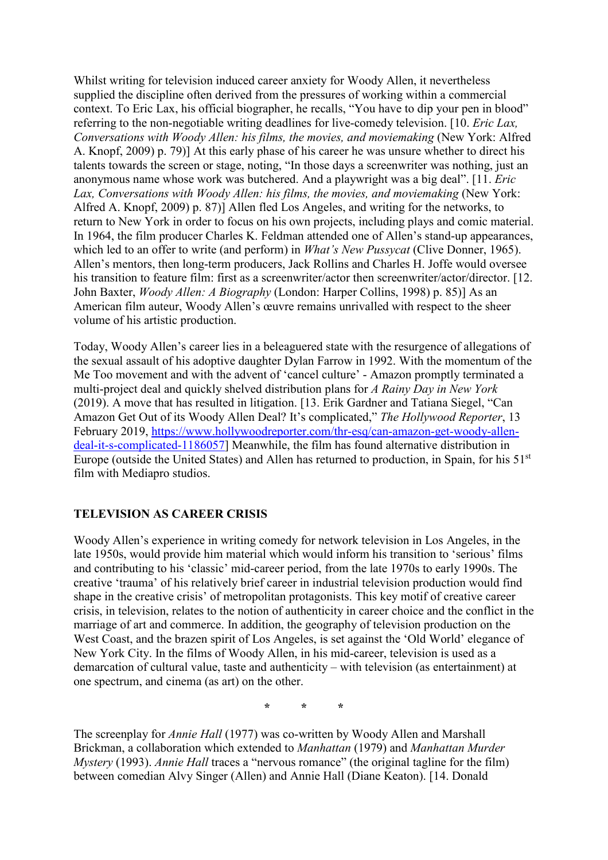Whilst writing for television induced career anxiety for Woody Allen, it nevertheless supplied the discipline often derived from the pressures of working within a commercial context. To Eric Lax, his official biographer, he recalls, "You have to dip your pen in blood" referring to the non-negotiable writing deadlines for live-comedy television. [10. *Eric Lax, Conversations with Woody Allen: his films, the movies, and moviemaking* (New York: Alfred A. Knopf, 2009) p. 79)] At this early phase of his career he was unsure whether to direct his talents towards the screen or stage, noting, "In those days a screenwriter was nothing, just an anonymous name whose work was butchered. And a playwright was a big deal". [11. *Eric Lax, Conversations with Woody Allen: his films, the movies, and moviemaking* (New York: Alfred A. Knopf, 2009) p. 87)] Allen fled Los Angeles, and writing for the networks, to return to New York in order to focus on his own projects, including plays and comic material. In 1964, the film producer Charles K. Feldman attended one of Allen's stand-up appearances, which led to an offer to write (and perform) in *What's New Pussycat* (Clive Donner, 1965). Allen's mentors, then long-term producers, Jack Rollins and Charles H. Joffe would oversee his transition to feature film: first as a screenwriter/actor then screenwriter/actor/director. [12.] John Baxter, *Woody Allen: A Biography* (London: Harper Collins, 1998) p. 85)] As an American film auteur, Woody Allen's œuvre remains unrivalled with respect to the sheer volume of his artistic production.

Today, Woody Allen's career lies in a beleaguered state with the resurgence of allegations of the sexual assault of his adoptive daughter Dylan Farrow in 1992. With the momentum of the Me Too movement and with the advent of 'cancel culture' - Amazon promptly terminated a multi-project deal and quickly shelved distribution plans for *A Rainy Day in New York* (2019). A move that has resulted in litigation. [13. Erik Gardner and Tatiana Siegel, "Can Amazon Get Out of its Woody Allen Deal? It's complicated," *The Hollywood Reporter*, 13 February 2019, [https://www.hollywoodreporter.com/thr-esq/can-amazon-get-woody-allen](https://www.hollywoodreporter.com/thr-esq/can-amazon-get-woody-allen-deal-it-s-complicated-1186057)[deal-it-s-complicated-1186057\]](https://www.hollywoodreporter.com/thr-esq/can-amazon-get-woody-allen-deal-it-s-complicated-1186057) Meanwhile, the film has found alternative distribution in Europe (outside the United States) and Allen has returned to production, in Spain, for his 51<sup>st</sup> film with Mediapro studios.

## **TELEVISION AS CAREER CRISIS**

Woody Allen's experience in writing comedy for network television in Los Angeles, in the late 1950s, would provide him material which would inform his transition to 'serious' films and contributing to his 'classic' mid-career period, from the late 1970s to early 1990s. The creative 'trauma' of his relatively brief career in industrial television production would find shape in the creative crisis' of metropolitan protagonists. This key motif of creative career crisis, in television, relates to the notion of authenticity in career choice and the conflict in the marriage of art and commerce. In addition, the geography of television production on the West Coast, and the brazen spirit of Los Angeles, is set against the 'Old World' elegance of New York City. In the films of Woody Allen, in his mid-career, television is used as a demarcation of cultural value, taste and authenticity – with television (as entertainment) at one spectrum, and cinema (as art) on the other.

**\* \* \***

The screenplay for *Annie Hall* (1977) was co-written by Woody Allen and Marshall Brickman, a collaboration which extended to *Manhattan* (1979) and *Manhattan Murder Mystery* (1993). *Annie Hall* traces a "nervous romance" (the original tagline for the film) between comedian Alvy Singer (Allen) and Annie Hall (Diane Keaton). [14. Donald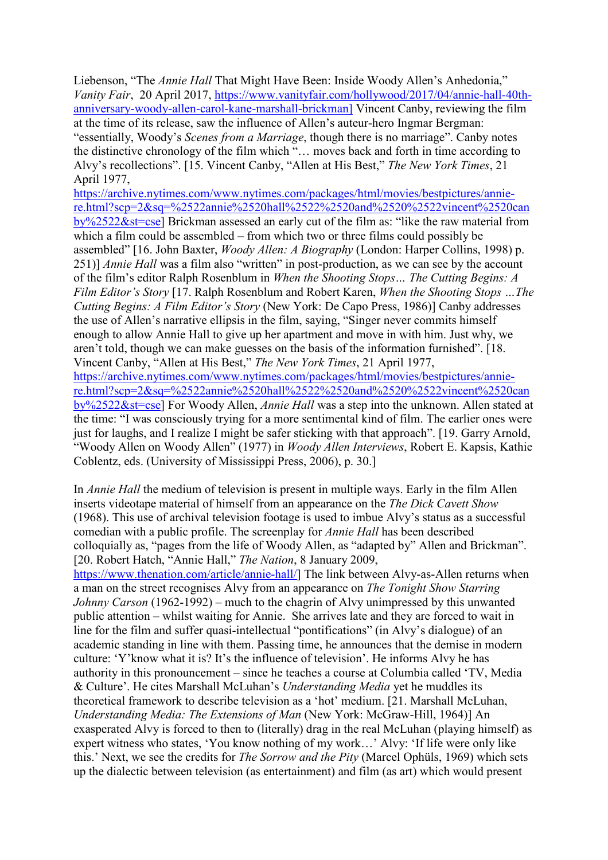Liebenson, "The *Annie Hall* That Might Have Been: Inside Woody Allen's Anhedonia," *Vanity Fair*, 20 April 2017, [https://www.vanityfair.com/hollywood/2017/04/annie-hall-40th](https://www.vanityfair.com/hollywood/2017/04/annie-hall-40th-anniversary-woody-allen-carol-kane-marshall-brickman)[anniversary-woody-allen-carol-kane-marshall-brickman\]](https://www.vanityfair.com/hollywood/2017/04/annie-hall-40th-anniversary-woody-allen-carol-kane-marshall-brickman) Vincent Canby, reviewing the film at the time of its release, saw the influence of Allen's auteur-hero Ingmar Bergman: "essentially, Woody's *Scenes from a Marriage*, though there is no marriage". Canby notes the distinctive chronology of the film which "… moves back and forth in time according to Alvy's recollections". [15. Vincent Canby, "Allen at His Best," *The New York Times*, 21 April 1977,

[https://archive.nytimes.com/www.nytimes.com/packages/html/movies/bestpictures/annie](https://archive.nytimes.com/www.nytimes.com/packages/html/movies/bestpictures/annie-re.html?scp=2&sq=%2522annie%2520hall%2522%2520and%2520%2522vincent%2520canby%2522&st=cse)[re.html?scp=2&sq=%2522annie%2520hall%2522%2520and%2520%2522vincent%2520can](https://archive.nytimes.com/www.nytimes.com/packages/html/movies/bestpictures/annie-re.html?scp=2&sq=%2522annie%2520hall%2522%2520and%2520%2522vincent%2520canby%2522&st=cse) [by%2522&st=cse\]](https://archive.nytimes.com/www.nytimes.com/packages/html/movies/bestpictures/annie-re.html?scp=2&sq=%2522annie%2520hall%2522%2520and%2520%2522vincent%2520canby%2522&st=cse) Brickman assessed an early cut of the film as: "like the raw material from which a film could be assembled – from which two or three films could possibly be assembled" [16. John Baxter, *Woody Allen: A Biography* (London: Harper Collins, 1998) p. 251)] *Annie Hall* was a film also "written" in post-production, as we can see by the account of the film's editor Ralph Rosenblum in *When the Shooting Stops… The Cutting Begins: A Film Editor's Story* [17. Ralph Rosenblum and Robert Karen, *When the Shooting Stops …The Cutting Begins: A Film Editor's Story* (New York: De Capo Press, 1986)] Canby addresses the use of Allen's narrative ellipsis in the film, saying, "Singer never commits himself enough to allow Annie Hall to give up her apartment and move in with him. Just why, we aren't told, though we can make guesses on the basis of the information furnished". [18. Vincent Canby, "Allen at His Best," *The New York Times*, 21 April 1977, [https://archive.nytimes.com/www.nytimes.com/packages/html/movies/bestpictures/annie](https://archive.nytimes.com/www.nytimes.com/packages/html/movies/bestpictures/annie-re.html?scp=2&sq=%2522annie%2520hall%2522%2520and%2520%2522vincent%2520canby%2522&st=cse)[re.html?scp=2&sq=%2522annie%2520hall%2522%2520and%2520%2522vincent%2520can](https://archive.nytimes.com/www.nytimes.com/packages/html/movies/bestpictures/annie-re.html?scp=2&sq=%2522annie%2520hall%2522%2520and%2520%2522vincent%2520canby%2522&st=cse) [by%2522&st=cse\]](https://archive.nytimes.com/www.nytimes.com/packages/html/movies/bestpictures/annie-re.html?scp=2&sq=%2522annie%2520hall%2522%2520and%2520%2522vincent%2520canby%2522&st=cse) For Woody Allen, *Annie Hall* was a step into the unknown. Allen stated at the time: "I was consciously trying for a more sentimental kind of film. The earlier ones were just for laughs, and I realize I might be safer sticking with that approach". [19. Garry Arnold, "Woody Allen on Woody Allen" (1977) in *Woody Allen Interviews*, Robert E. Kapsis, Kathie Coblentz, eds. (University of Mississippi Press, 2006), p. 30.]

In *Annie Hall* the medium of television is present in multiple ways. Early in the film Allen inserts videotape material of himself from an appearance on the *The Dick Cavett Show* (1968). This use of archival television footage is used to imbue Alvy's status as a successful comedian with a public profile. The screenplay for *Annie Hall* has been described colloquially as, "pages from the life of Woody Allen, as "adapted by" Allen and Brickman". [20. Robert Hatch, "Annie Hall," *The Nation*, 8 January 2009, [https://www.thenation.com/article/annie-hall/\]](https://www.thenation.com/article/annie-hall/) The link between Alvy-as-Allen returns when a man on the street recognises Alvy from an appearance on *The Tonight Show Starring Johnny Carson* (1962-1992) – much to the chagrin of Alvy unimpressed by this unwanted public attention – whilst waiting for Annie. She arrives late and they are forced to wait in line for the film and suffer quasi-intellectual "pontifications" (in Alvy's dialogue) of an academic standing in line with them. Passing time, he announces that the demise in modern culture: 'Y'know what it is? It's the influence of television'. He informs Alvy he has authority in this pronouncement – since he teaches a course at Columbia called 'TV, Media & Culture'. He cites Marshall McLuhan's *Understanding Media* yet he muddles its theoretical framework to describe television as a 'hot' medium. [21. Marshall McLuhan, *Understanding Media: The Extensions of Man* (New York: McGraw-Hill, 1964)] An exasperated Alvy is forced to then to (literally) drag in the real McLuhan (playing himself) as expert witness who states, 'You know nothing of my work…' Alvy: 'If life were only like this.' Next, we see the credits for *The Sorrow and the Pity* (Marcel Ophüls, 1969) which sets up the dialectic between television (as entertainment) and film (as art) which would present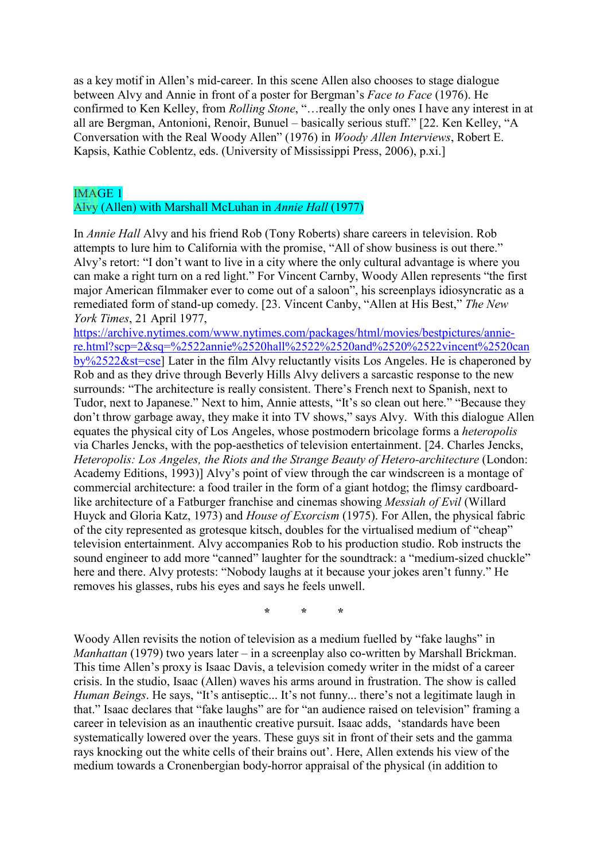as a key motif in Allen's mid-career. In this scene Allen also chooses to stage dialogue between Alvy and Annie in front of a poster for Bergman's *Face to Face* (1976). He confirmed to Ken Kelley, from *Rolling Stone*, "…really the only ones I have any interest in at all are Bergman, Antonioni, Renoir, Bunuel – basically serious stuff." [22. Ken Kelley, "A Conversation with the Real Woody Allen" (1976) in *Woody Allen Interviews*, Robert E. Kapsis, Kathie Coblentz, eds. (University of Mississippi Press, 2006), p.xi.]

#### IMAGE 1

## Alvy (Allen) with Marshall McLuhan in *Annie Hall* (1977)

In *Annie Hall* Alvy and his friend Rob (Tony Roberts) share careers in television. Rob attempts to lure him to California with the promise, "All of show business is out there." Alvy's retort: "I don't want to live in a city where the only cultural advantage is where you can make a right turn on a red light." For Vincent Carnby, Woody Allen represents "the first major American filmmaker ever to come out of a saloon", his screenplays idiosyncratic as a remediated form of stand-up comedy. [23. Vincent Canby, "Allen at His Best," *The New York Times*, 21 April 1977,

[https://archive.nytimes.com/www.nytimes.com/packages/html/movies/bestpictures/annie](https://archive.nytimes.com/www.nytimes.com/packages/html/movies/bestpictures/annie-re.html?scp=2&sq=%2522annie%2520hall%2522%2520and%2520%2522vincent%2520canby%2522&st=cse)[re.html?scp=2&sq=%2522annie%2520hall%2522%2520and%2520%2522vincent%2520can](https://archive.nytimes.com/www.nytimes.com/packages/html/movies/bestpictures/annie-re.html?scp=2&sq=%2522annie%2520hall%2522%2520and%2520%2522vincent%2520canby%2522&st=cse) [by%2522&st=cse\]](https://archive.nytimes.com/www.nytimes.com/packages/html/movies/bestpictures/annie-re.html?scp=2&sq=%2522annie%2520hall%2522%2520and%2520%2522vincent%2520canby%2522&st=cse) Later in the film Alvy reluctantly visits Los Angeles. He is chaperoned by Rob and as they drive through Beverly Hills Alvy delivers a sarcastic response to the new surrounds: "The architecture is really consistent. There's French next to Spanish, next to Tudor, next to Japanese." Next to him, Annie attests, "It's so clean out here." "Because they don't throw garbage away, they make it into TV shows," says Alvy. With this dialogue Allen equates the physical city of Los Angeles, whose postmodern bricolage forms a *heteropolis* via Charles Jencks, with the pop-aesthetics of television entertainment. [24. Charles Jencks, *Heteropolis: Los Angeles, the Riots and the Strange Beauty of Hetero-architecture* (London: Academy Editions, 1993)] Alvy's point of view through the car windscreen is a montage of commercial architecture: a food trailer in the form of a giant hotdog; the flimsy cardboardlike architecture of a Fatburger franchise and cinemas showing *Messiah of Evil* (Willard Huyck and Gloria Katz, 1973) and *House of Exorcism* (1975). For Allen, the physical fabric of the city represented as grotesque kitsch, doubles for the virtualised medium of "cheap" television entertainment. Alvy accompanies Rob to his production studio. Rob instructs the sound engineer to add more "canned" laughter for the soundtrack: a "medium-sized chuckle" here and there. Alvy protests: "Nobody laughs at it because your jokes aren't funny." He removes his glasses, rubs his eyes and says he feels unwell.

**\* \* \***

Woody Allen revisits the notion of television as a medium fuelled by "fake laughs" in *Manhattan* (1979) two years later – in a screenplay also co-written by Marshall Brickman. This time Allen's proxy is Isaac Davis, a television comedy writer in the midst of a career crisis. In the studio, Isaac (Allen) waves his arms around in frustration. The show is called *Human Beings*. He says, "It's antiseptic... It's not funny... there's not a legitimate laugh in that." Isaac declares that "fake laughs" are for "an audience raised on television" framing a career in television as an inauthentic creative pursuit. Isaac adds, 'standards have been systematically lowered over the years. These guys sit in front of their sets and the gamma rays knocking out the white cells of their brains out'. Here, Allen extends his view of the medium towards a Cronenbergian body-horror appraisal of the physical (in addition to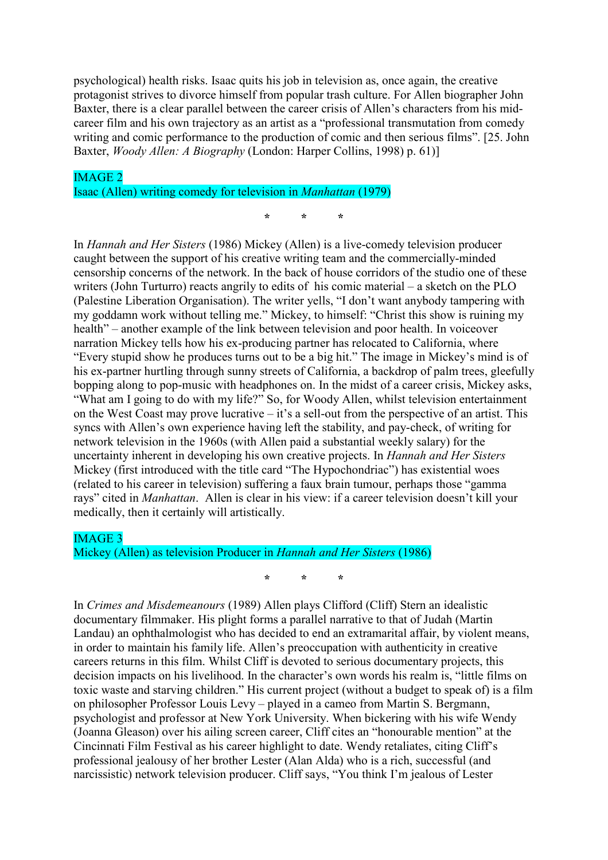psychological) health risks. Isaac quits his job in television as, once again, the creative protagonist strives to divorce himself from popular trash culture. For Allen biographer John Baxter, there is a clear parallel between the career crisis of Allen's characters from his midcareer film and his own trajectory as an artist as a "professional transmutation from comedy writing and comic performance to the production of comic and then serious films". [25. John Baxter, *Woody Allen: A Biography* (London: Harper Collins, 1998) p. 61)]

**\* \* \***

## IMAGE 2 Isaac (Allen) writing comedy for television in *Manhattan* (1979)

In *Hannah and Her Sisters* (1986) Mickey (Allen) is a live-comedy television producer caught between the support of his creative writing team and the commercially-minded censorship concerns of the network. In the back of house corridors of the studio one of these writers (John Turturro) reacts angrily to edits of his comic material – a sketch on the PLO (Palestine Liberation Organisation). The writer yells, "I don't want anybody tampering with my goddamn work without telling me." Mickey, to himself: "Christ this show is ruining my health" – another example of the link between television and poor health. In voiceover narration Mickey tells how his ex-producing partner has relocated to California, where "Every stupid show he produces turns out to be a big hit." The image in Mickey's mind is of his ex-partner hurtling through sunny streets of California, a backdrop of palm trees, gleefully bopping along to pop-music with headphones on. In the midst of a career crisis, Mickey asks, "What am I going to do with my life?" So, for Woody Allen, whilst television entertainment on the West Coast may prove lucrative – it's a sell-out from the perspective of an artist. This syncs with Allen's own experience having left the stability, and pay-check, of writing for network television in the 1960s (with Allen paid a substantial weekly salary) for the uncertainty inherent in developing his own creative projects. In *Hannah and Her Sisters* Mickey (first introduced with the title card "The Hypochondriac") has existential woes (related to his career in television) suffering a faux brain tumour, perhaps those "gamma rays" cited in *Manhattan*. Allen is clear in his view: if a career television doesn't kill your medically, then it certainly will artistically.

#### IMAGE 3

# Mickey (Allen) as television Producer in *Hannah and Her Sisters* (1986)

**\* \* \***

In *Crimes and Misdemeanours* (1989) Allen plays Clifford (Cliff) Stern an idealistic documentary filmmaker. His plight forms a parallel narrative to that of Judah (Martin Landau) an ophthalmologist who has decided to end an extramarital affair, by violent means, in order to maintain his family life. Allen's preoccupation with authenticity in creative careers returns in this film. Whilst Cliff is devoted to serious documentary projects, this decision impacts on his livelihood. In the character's own words his realm is, "little films on toxic waste and starving children." His current project (without a budget to speak of) is a film on philosopher Professor Louis Levy – played in a cameo from Martin S. Bergmann, psychologist and professor at New York University. When bickering with his wife Wendy (Joanna Gleason) over his ailing screen career, Cliff cites an "honourable mention" at the Cincinnati Film Festival as his career highlight to date. Wendy retaliates, citing Cliff's professional jealousy of her brother Lester (Alan Alda) who is a rich, successful (and narcissistic) network television producer. Cliff says, "You think I'm jealous of Lester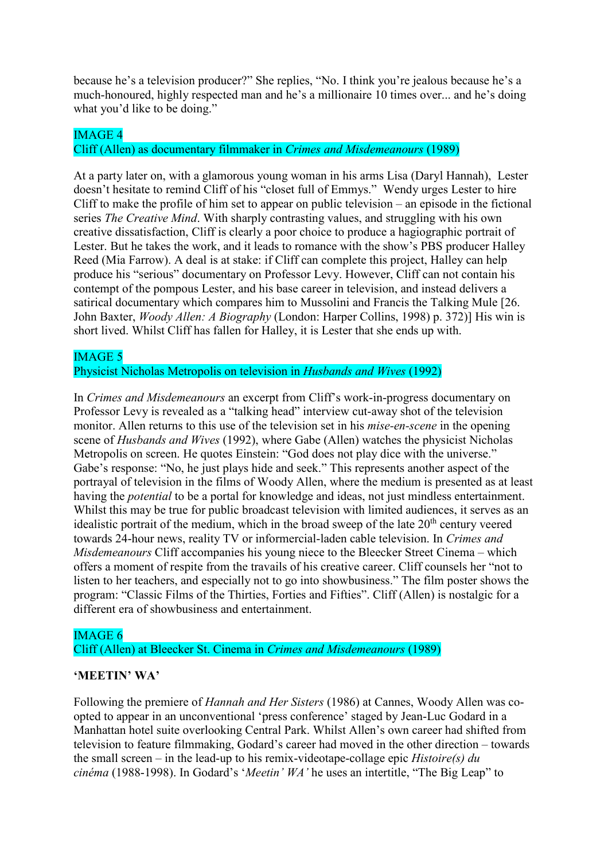because he's a television producer?" She replies, "No. I think you're jealous because he's a much-honoured, highly respected man and he's a millionaire 10 times over... and he's doing what you'd like to be doing."

#### IMAGE 4

#### Cliff (Allen) as documentary filmmaker in *Crimes and Misdemeanours* (1989)

At a party later on, with a glamorous young woman in his arms Lisa (Daryl Hannah), Lester doesn't hesitate to remind Cliff of his "closet full of Emmys." Wendy urges Lester to hire Cliff to make the profile of him set to appear on public television – an episode in the fictional series *The Creative Mind*. With sharply contrasting values, and struggling with his own creative dissatisfaction, Cliff is clearly a poor choice to produce a hagiographic portrait of Lester. But he takes the work, and it leads to romance with the show's PBS producer Halley Reed (Mia Farrow). A deal is at stake: if Cliff can complete this project, Halley can help produce his "serious" documentary on Professor Levy. However, Cliff can not contain his contempt of the pompous Lester, and his base career in television, and instead delivers a satirical documentary which compares him to Mussolini and Francis the Talking Mule [26. John Baxter, *Woody Allen: A Biography* (London: Harper Collins, 1998) p. 372)] His win is short lived. Whilst Cliff has fallen for Halley, it is Lester that she ends up with.

#### IMAGE 5

#### Physicist Nicholas Metropolis on television in *Husbands and Wives* (1992)

In *Crimes and Misdemeanours* an excerpt from Cliff's work-in-progress documentary on Professor Levy is revealed as a "talking head" interview cut-away shot of the television monitor. Allen returns to this use of the television set in his *mise-en-scene* in the opening scene of *Husbands and Wives* (1992), where Gabe (Allen) watches the physicist Nicholas Metropolis on screen. He quotes Einstein: "God does not play dice with the universe." Gabe's response: "No, he just plays hide and seek." This represents another aspect of the portrayal of television in the films of Woody Allen, where the medium is presented as at least having the *potential* to be a portal for knowledge and ideas, not just mindless entertainment. Whilst this may be true for public broadcast television with limited audiences, it serves as an idealistic portrait of the medium, which in the broad sweep of the late  $20<sup>th</sup>$  century veered towards 24-hour news, reality TV or informercial-laden cable television. In *Crimes and Misdemeanours* Cliff accompanies his young niece to the Bleecker Street Cinema – which offers a moment of respite from the travails of his creative career. Cliff counsels her "not to listen to her teachers, and especially not to go into showbusiness." The film poster shows the program: "Classic Films of the Thirties, Forties and Fifties". Cliff (Allen) is nostalgic for a different era of showbusiness and entertainment.

#### IMAGE 6

Cliff (Allen) at Bleecker St. Cinema in *Crimes and Misdemeanours* (1989)

#### **'MEETIN' WA'**

Following the premiere of *Hannah and Her Sisters* (1986) at Cannes, Woody Allen was coopted to appear in an unconventional 'press conference' staged by Jean-Luc Godard in a Manhattan hotel suite overlooking Central Park. Whilst Allen's own career had shifted from television to feature filmmaking, Godard's career had moved in the other direction – towards the small screen – in the lead-up to his remix-videotape-collage epic *Histoire(s) du cinéma* (1988-1998). In Godard's '*Meetin' WA'* he uses an intertitle, "The Big Leap" to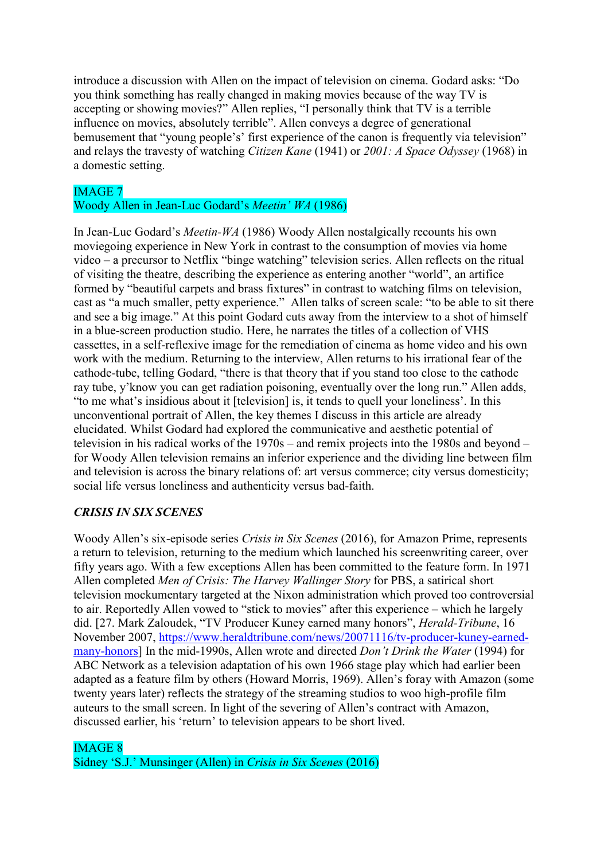introduce a discussion with Allen on the impact of television on cinema. Godard asks: "Do you think something has really changed in making movies because of the way TV is accepting or showing movies?" Allen replies, "I personally think that TV is a terrible influence on movies, absolutely terrible". Allen conveys a degree of generational bemusement that "young people's' first experience of the canon is frequently via television" and relays the travesty of watching *Citizen Kane* (1941) or *2001: A Space Odyssey* (1968) in a domestic setting.

# IMAGE 7

# Woody Allen in Jean-Luc Godard's *Meetin' WA* (1986)

In Jean-Luc Godard's *Meetin-WA* (1986) Woody Allen nostalgically recounts his own moviegoing experience in New York in contrast to the consumption of movies via home video – a precursor to Netflix "binge watching" television series. Allen reflects on the ritual of visiting the theatre, describing the experience as entering another "world", an artifice formed by "beautiful carpets and brass fixtures" in contrast to watching films on television, cast as "a much smaller, petty experience." Allen talks of screen scale: "to be able to sit there and see a big image." At this point Godard cuts away from the interview to a shot of himself in a blue-screen production studio. Here, he narrates the titles of a collection of VHS cassettes, in a self-reflexive image for the remediation of cinema as home video and his own work with the medium. Returning to the interview, Allen returns to his irrational fear of the cathode-tube, telling Godard, "there is that theory that if you stand too close to the cathode ray tube, y'know you can get radiation poisoning, eventually over the long run." Allen adds, "to me what's insidious about it [television] is, it tends to quell your loneliness'. In this unconventional portrait of Allen, the key themes I discuss in this article are already elucidated. Whilst Godard had explored the communicative and aesthetic potential of television in his radical works of the 1970s – and remix projects into the 1980s and beyond – for Woody Allen television remains an inferior experience and the dividing line between film and television is across the binary relations of: art versus commerce; city versus domesticity; social life versus loneliness and authenticity versus bad-faith.

# *CRISIS IN SIX SCENES*

Woody Allen's six-episode series *Crisis in Six Scenes* (2016), for Amazon Prime, represents a return to television, returning to the medium which launched his screenwriting career, over fifty years ago. With a few exceptions Allen has been committed to the feature form. In 1971 Allen completed *Men of Crisis: The Harvey Wallinger Story* for PBS, a satirical short television mockumentary targeted at the Nixon administration which proved too controversial to air. Reportedly Allen vowed to "stick to movies" after this experience – which he largely did. [27. Mark Zaloudek, "TV Producer Kuney earned many honors", *Herald-Tribune*, 16 November 2007, [https://www.heraldtribune.com/news/20071116/tv-producer-kuney-earned](https://www.heraldtribune.com/news/20071116/tv-producer-kuney-earned-many-honors)[many-honors\]](https://www.heraldtribune.com/news/20071116/tv-producer-kuney-earned-many-honors) In the mid-1990s, Allen wrote and directed *Don't Drink the Water* (1994) for ABC Network as a television adaptation of his own 1966 stage play which had earlier been adapted as a feature film by others (Howard Morris, 1969). Allen's foray with Amazon (some twenty years later) reflects the strategy of the streaming studios to woo high-profile film auteurs to the small screen. In light of the severing of Allen's contract with Amazon, discussed earlier, his 'return' to television appears to be short lived.

# IMAGE 8

Sidney 'S.J.' Munsinger (Allen) in *Crisis in Six Scenes* (2016)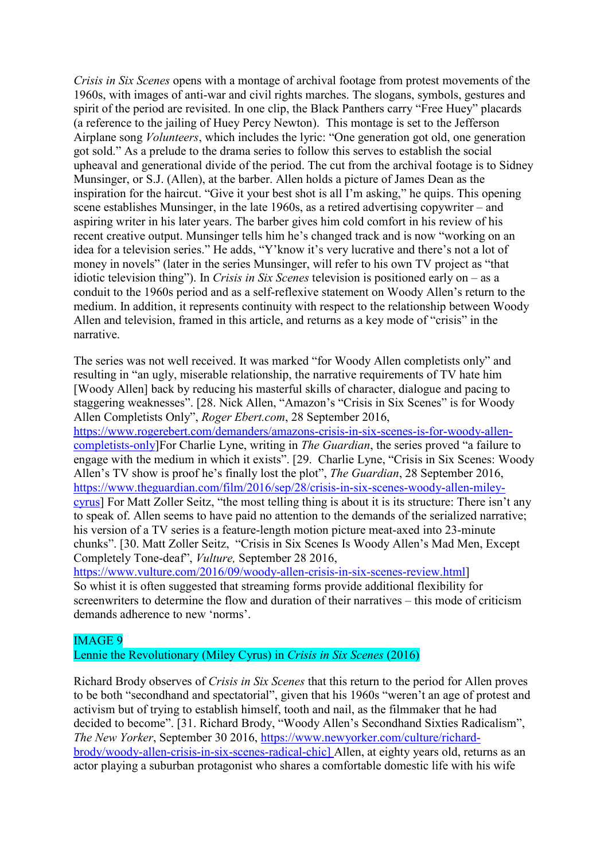*Crisis in Six Scenes* opens with a montage of archival footage from protest movements of the 1960s, with images of anti-war and civil rights marches. The slogans, symbols, gestures and spirit of the period are revisited. In one clip, the Black Panthers carry "Free Huey" placards (a reference to the jailing of Huey Percy Newton). This montage is set to the Jefferson Airplane song *Volunteers*, which includes the lyric: "One generation got old, one generation got sold." As a prelude to the drama series to follow this serves to establish the social upheaval and generational divide of the period. The cut from the archival footage is to Sidney Munsinger, or S.J. (Allen), at the barber. Allen holds a picture of James Dean as the inspiration for the haircut. "Give it your best shot is all I'm asking," he quips. This opening scene establishes Munsinger, in the late 1960s, as a retired advertising copywriter – and aspiring writer in his later years. The barber gives him cold comfort in his review of his recent creative output. Munsinger tells him he's changed track and is now "working on an idea for a television series." He adds, "Y'know it's very lucrative and there's not a lot of money in novels" (later in the series Munsinger, will refer to his own TV project as "that idiotic television thing"). In *Crisis in Six Scenes* television is positioned early on – as a conduit to the 1960s period and as a self-reflexive statement on Woody Allen's return to the medium. In addition, it represents continuity with respect to the relationship between Woody Allen and television, framed in this article, and returns as a key mode of "crisis" in the narrative.

The series was not well received. It was marked "for Woody Allen completists only" and resulting in "an ugly, miserable relationship, the narrative requirements of TV hate him [Woody Allen] back by reducing his masterful skills of character, dialogue and pacing to staggering weaknesses". [28. Nick Allen, "Amazon's "Crisis in Six Scenes" is for Woody Allen Completists Only", *Roger Ebert.com*, 28 September 2016, [https://www.rogerebert.com/demanders/amazons-crisis-in-six-scenes-is-for-woody-allen](https://www.rogerebert.com/demanders/amazons-crisis-in-six-scenes-is-for-woody-allen-completists-only)[completists-only\]](https://www.rogerebert.com/demanders/amazons-crisis-in-six-scenes-is-for-woody-allen-completists-only)For Charlie Lyne, writing in *The Guardian*, the series proved "a failure to engage with the medium in which it exists". [29. Charlie Lyne, "Crisis in Six Scenes: Woody Allen's TV show is proof he's finally lost the plot", *The Guardian*, 28 September 2016, [https://www.theguardian.com/film/2016/sep/28/crisis-in-six-scenes-woody-allen-miley](https://www.theguardian.com/film/2016/sep/28/crisis-in-six-scenes-woody-allen-miley-cyrus)[cyrus\]](https://www.theguardian.com/film/2016/sep/28/crisis-in-six-scenes-woody-allen-miley-cyrus) For Matt Zoller Seitz, "the most telling thing is about it is its structure: There isn't any to speak of. Allen seems to have paid no attention to the demands of the serialized narrative; his version of a TV series is a feature-length motion picture meat-axed into 23-minute chunks". [30. Matt Zoller Seitz, "Crisis in Six Scenes Is Woody Allen's Mad Men, Except Completely Tone-deaf", *Vulture,* September 28 2016,

[https://www.vulture.com/2016/09/woody-allen-crisis-in-six-scenes-review.html\]](https://www.vulture.com/2016/09/woody-allen-crisis-in-six-scenes-review.html) So whist it is often suggested that streaming forms provide additional flexibility for screenwriters to determine the flow and duration of their narratives – this mode of criticism demands adherence to new 'norms'.

## IMAGE 9

Lennie the Revolutionary (Miley Cyrus) in *Crisis in Six Scenes* (2016)

Richard Brody observes of *Crisis in Six Scenes* that this return to the period for Allen proves to be both "secondhand and spectatorial", given that his 1960s "weren't an age of protest and activism but of trying to establish himself, tooth and nail, as the filmmaker that he had decided to become". [31. Richard Brody, "Woody Allen's Secondhand Sixties Radicalism", *The New Yorker*, September 30 2016, [https://www.newyorker.com/culture/richard](https://www.newyorker.com/culture/richard-brody/woody-allen-crisis-in-six-scenes-radical-chic)[brody/woody-allen-crisis-in-six-scenes-radical-chic\]](https://www.newyorker.com/culture/richard-brody/woody-allen-crisis-in-six-scenes-radical-chic) Allen, at eighty years old, returns as an actor playing a suburban protagonist who shares a comfortable domestic life with his wife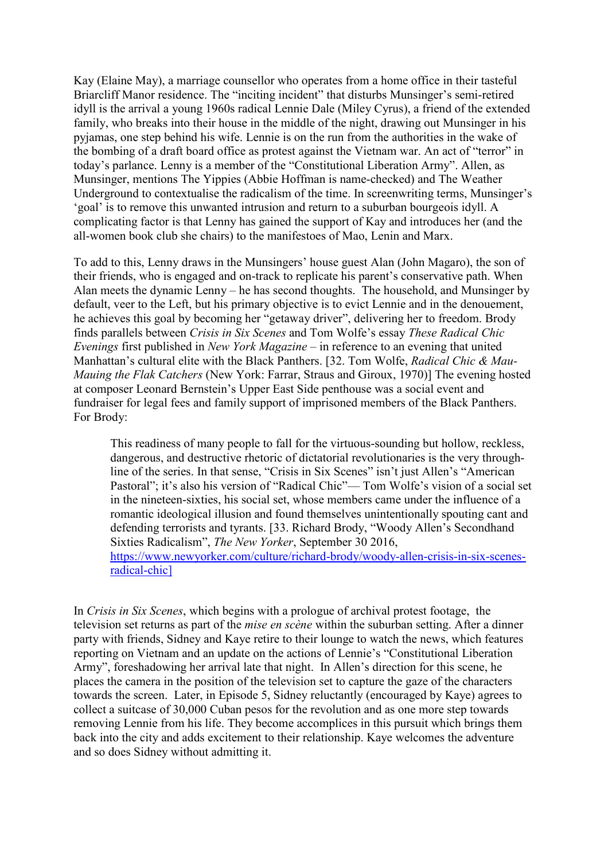Kay (Elaine May), a marriage counsellor who operates from a home office in their tasteful Briarcliff Manor residence. The "inciting incident" that disturbs Munsinger's semi-retired idyll is the arrival a young 1960s radical Lennie Dale (Miley Cyrus), a friend of the extended family, who breaks into their house in the middle of the night, drawing out Munsinger in his pyjamas, one step behind his wife. Lennie is on the run from the authorities in the wake of the bombing of a draft board office as protest against the Vietnam war. An act of "terror" in today's parlance. Lenny is a member of the "Constitutional Liberation Army". Allen, as Munsinger, mentions The Yippies (Abbie Hoffman is name-checked) and The Weather Underground to contextualise the radicalism of the time. In screenwriting terms, Munsinger's 'goal' is to remove this unwanted intrusion and return to a suburban bourgeois idyll. A complicating factor is that Lenny has gained the support of Kay and introduces her (and the all-women book club she chairs) to the manifestoes of Mao, Lenin and Marx.

To add to this, Lenny draws in the Munsingers' house guest Alan (John Magaro), the son of their friends, who is engaged and on-track to replicate his parent's conservative path. When Alan meets the dynamic Lenny – he has second thoughts. The household, and Munsinger by default, veer to the Left, but his primary objective is to evict Lennie and in the denouement, he achieves this goal by becoming her "getaway driver", delivering her to freedom. Brody finds parallels between *Crisis in Six Scenes* and Tom Wolfe's essay *These Radical Chic Evenings* first published in *New York Magazine* – in reference to an evening that united Manhattan's cultural elite with the Black Panthers. [32. Tom Wolfe, *Radical Chic & Mau-Mauing the Flak Catchers* (New York: Farrar, Straus and Giroux, 1970)] The evening hosted at composer Leonard Bernstein's Upper East Side penthouse was a social event and fundraiser for legal fees and family support of imprisoned members of the Black Panthers. For Brody:

This readiness of many people to fall for the virtuous-sounding but hollow, reckless, dangerous, and destructive rhetoric of dictatorial revolutionaries is the very throughline of the series. In that sense, "Crisis in Six Scenes" isn't just Allen's "American Pastoral"; it's also his version of "Radical Chic"— Tom Wolfe's vision of a social set in the nineteen-sixties, his social set, whose members came under the influence of a romantic ideological illusion and found themselves unintentionally spouting cant and defending terrorists and tyrants. [33. Richard Brody, "Woody Allen's Secondhand Sixties Radicalism", *The New Yorker*, September 30 2016, [https://www.newyorker.com/culture/richard-brody/woody-allen-crisis-in-six-scenes](https://www.newyorker.com/culture/richard-brody/woody-allen-crisis-in-six-scenes-radical-chic)[radical-chic\]](https://www.newyorker.com/culture/richard-brody/woody-allen-crisis-in-six-scenes-radical-chic)

In *Crisis in Six Scenes*, which begins with a prologue of archival protest footage, the television set returns as part of the *mise en scène* within the suburban setting. After a dinner party with friends, Sidney and Kaye retire to their lounge to watch the news, which features reporting on Vietnam and an update on the actions of Lennie's "Constitutional Liberation Army", foreshadowing her arrival late that night. In Allen's direction for this scene, he places the camera in the position of the television set to capture the gaze of the characters towards the screen. Later, in Episode 5, Sidney reluctantly (encouraged by Kaye) agrees to collect a suitcase of 30,000 Cuban pesos for the revolution and as one more step towards removing Lennie from his life. They become accomplices in this pursuit which brings them back into the city and adds excitement to their relationship. Kaye welcomes the adventure and so does Sidney without admitting it.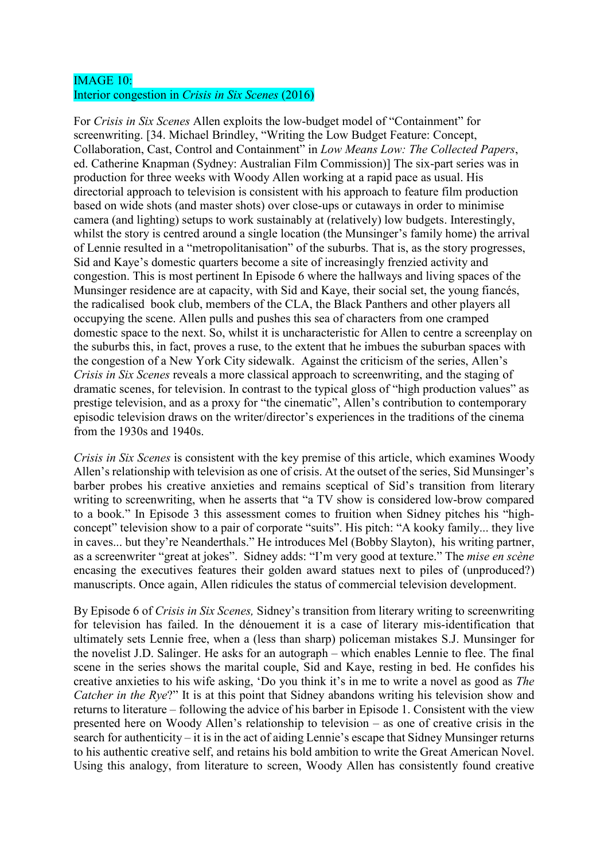### IMAGE 10: Interior congestion in *Crisis in Six Scenes* (2016)

For *Crisis in Six Scenes* Allen exploits the low-budget model of "Containment" for screenwriting. [34. Michael Brindley, "Writing the Low Budget Feature: Concept, Collaboration, Cast, Control and Containment" in *Low Means Low: The Collected Papers*, ed. Catherine Knapman (Sydney: Australian Film Commission)] The six-part series was in production for three weeks with Woody Allen working at a rapid pace as usual. His directorial approach to television is consistent with his approach to feature film production based on wide shots (and master shots) over close-ups or cutaways in order to minimise camera (and lighting) setups to work sustainably at (relatively) low budgets. Interestingly, whilst the story is centred around a single location (the Munsinger's family home) the arrival of Lennie resulted in a "metropolitanisation" of the suburbs. That is, as the story progresses, Sid and Kaye's domestic quarters become a site of increasingly frenzied activity and congestion. This is most pertinent In Episode 6 where the hallways and living spaces of the Munsinger residence are at capacity, with Sid and Kaye, their social set, the young fiancés, the radicalised book club, members of the CLA, the Black Panthers and other players all occupying the scene. Allen pulls and pushes this sea of characters from one cramped domestic space to the next. So, whilst it is uncharacteristic for Allen to centre a screenplay on the suburbs this, in fact, proves a ruse, to the extent that he imbues the suburban spaces with the congestion of a New York City sidewalk. Against the criticism of the series, Allen's *Crisis in Six Scenes* reveals a more classical approach to screenwriting, and the staging of dramatic scenes, for television. In contrast to the typical gloss of "high production values" as prestige television, and as a proxy for "the cinematic", Allen's contribution to contemporary episodic television draws on the writer/director's experiences in the traditions of the cinema from the 1930s and 1940s.

*Crisis in Six Scenes* is consistent with the key premise of this article, which examines Woody Allen's relationship with television as one of crisis. At the outset of the series, Sid Munsinger's barber probes his creative anxieties and remains sceptical of Sid's transition from literary writing to screenwriting, when he asserts that "a TV show is considered low-brow compared to a book." In Episode 3 this assessment comes to fruition when Sidney pitches his "highconcept" television show to a pair of corporate "suits". His pitch: "A kooky family... they live in caves... but they're Neanderthals." He introduces Mel (Bobby Slayton), his writing partner, as a screenwriter "great at jokes". Sidney adds: "I'm very good at texture." The *mise en scène* encasing the executives features their golden award statues next to piles of (unproduced?) manuscripts. Once again, Allen ridicules the status of commercial television development.

By Episode 6 of *Crisis in Six Scenes,* Sidney's transition from literary writing to screenwriting for television has failed. In the dénouement it is a case of literary mis-identification that ultimately sets Lennie free, when a (less than sharp) policeman mistakes S.J. Munsinger for the novelist J.D. Salinger. He asks for an autograph – which enables Lennie to flee. The final scene in the series shows the marital couple, Sid and Kaye, resting in bed. He confides his creative anxieties to his wife asking, 'Do you think it's in me to write a novel as good as *The Catcher in the Rye?*" It is at this point that Sidney abandons writing his television show and returns to literature – following the advice of his barber in Episode 1. Consistent with the view presented here on Woody Allen's relationship to television – as one of creative crisis in the search for authenticity – it is in the act of aiding Lennie's escape that Sidney Munsinger returns to his authentic creative self, and retains his bold ambition to write the Great American Novel. Using this analogy, from literature to screen, Woody Allen has consistently found creative